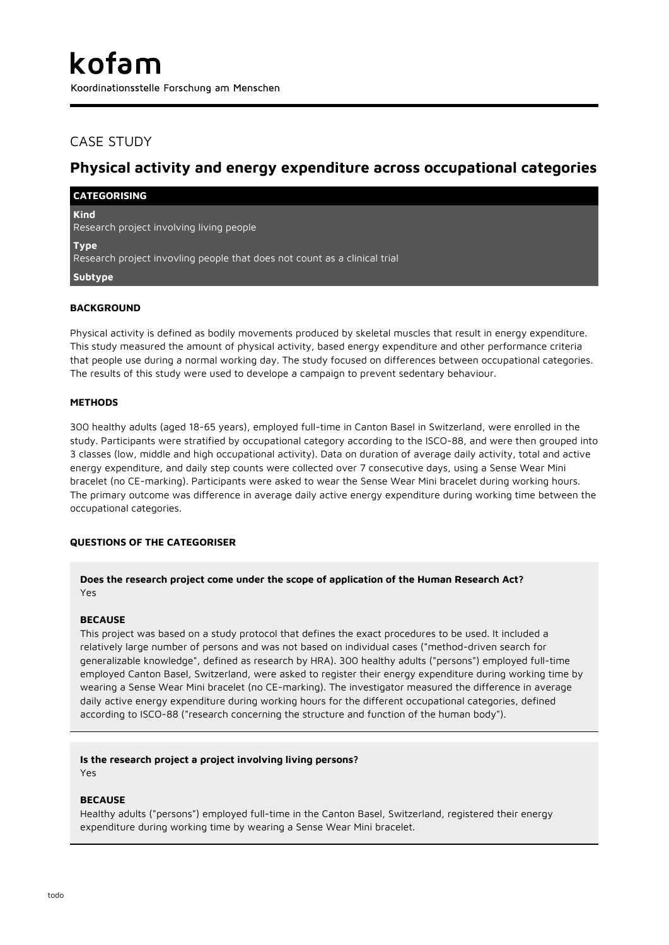Koordinationsstelle Forschung am Menschen

# CASE STUDY

# **Physical activity and energy expenditure across occupational categories**

| <b>CATEGORISING</b>                                                                      |
|------------------------------------------------------------------------------------------|
| <b>Kind</b><br>Research project involving living people                                  |
| <b>Type</b><br>Research project invovling people that does not count as a clinical trial |
| Subtype                                                                                  |
|                                                                                          |

#### **BACKGROUND**

Physical activity is defined as bodily movements produced by skeletal muscles that result in energy expenditure. This study measured the amount of physical activity, based energy expenditure and other performance criteria that people use during a normal working day. The study focused on differences between occupational categories. The results of this study were used to develope a campaign to prevent sedentary behaviour.

## **METHODS**

300 healthy adults (aged 18-65 years), employed full-time in Canton Basel in Switzerland, were enrolled in the study. Participants were stratified by occupational category according to the ISCO-88, and were then grouped into 3 classes (low, middle and high occupational activity). Data on duration of average daily activity, total and active energy expenditure, and daily step counts were collected over 7 consecutive days, using a Sense Wear Mini bracelet (no CE-marking). Participants were asked to wear the Sense Wear Mini bracelet during working hours. The primary outcome was difference in average daily active energy expenditure during working time between the occupational categories.

#### **QUESTIONS OF THE CATEGORISER**

**Does the research project come under the scope of application of the Human Research Act?** Yes

#### **BECAUSE**

This project was based on a study protocol that defines the exact procedures to be used. It included a relatively large number of persons and was not based on individual cases ("method-driven search for generalizable knowledge", defined as research by HRA). 300 healthy adults ("persons") employed full-time employed Canton Basel, Switzerland, were asked to register their energy expenditure during working time by wearing a Sense Wear Mini bracelet (no CE-marking). The investigator measured the difference in average daily active energy expenditure during working hours for the different occupational categories, defined according to ISCO-88 ("research concerning the structure and function of the human body").

#### **Is the research project a project involving living persons?**

Yes

#### **BECAUSE**

Healthy adults ("persons") employed full-time in the Canton Basel, Switzerland, registered their energy expenditure during working time by wearing a Sense Wear Mini bracelet.